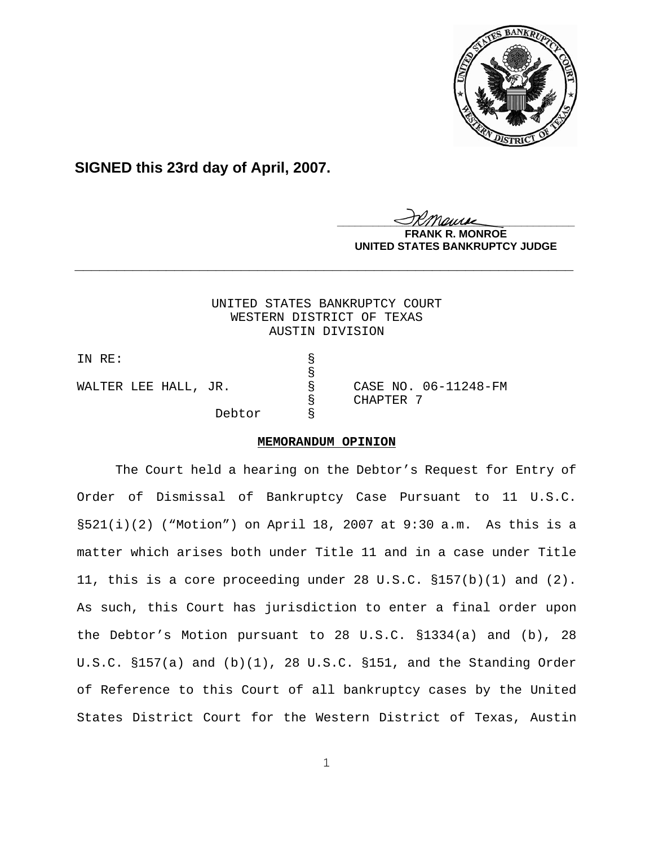

# **SIGNED this 23rd day of April, 2007.**

<u>IKThemse</u>

**MONROE UNITED STATES BANKRUPTCY JUDGE**

UNITED STATES BANKRUPTCY COURT WESTERN DISTRICT OF TEXAS AUSTIN DIVISION

**\_\_\_\_\_\_\_\_\_\_\_\_\_\_\_\_\_\_\_\_\_\_\_\_\_\_\_\_\_\_\_\_\_\_\_\_\_\_\_\_\_\_\_\_\_\_\_\_\_\_\_\_\_\_\_\_\_\_\_\_**

| IN RE:               |  |        |   |           |                      |
|----------------------|--|--------|---|-----------|----------------------|
|                      |  |        |   |           |                      |
| WALTER LEE HALL, JR. |  |        | 8 |           | CASE NO. 06-11248-FM |
|                      |  |        |   | CHAPTER 7 |                      |
|                      |  | Debtor |   |           |                      |

### **MEMORANDUM OPINION**

The Court held a hearing on the Debtor's Request for Entry of Order of Dismissal of Bankruptcy Case Pursuant to 11 U.S.C. §521(i)(2) ("Motion") on April 18, 2007 at 9:30 a.m. As this is a matter which arises both under Title 11 and in a case under Title 11, this is a core proceeding under 28 U.S.C. §157(b)(1) and (2). As such, this Court has jurisdiction to enter a final order upon the Debtor's Motion pursuant to 28 U.S.C. §1334(a) and (b), 28 U.S.C. §157(a) and (b)(1), 28 U.S.C. §151, and the Standing Order of Reference to this Court of all bankruptcy cases by the United States District Court for the Western District of Texas, Austin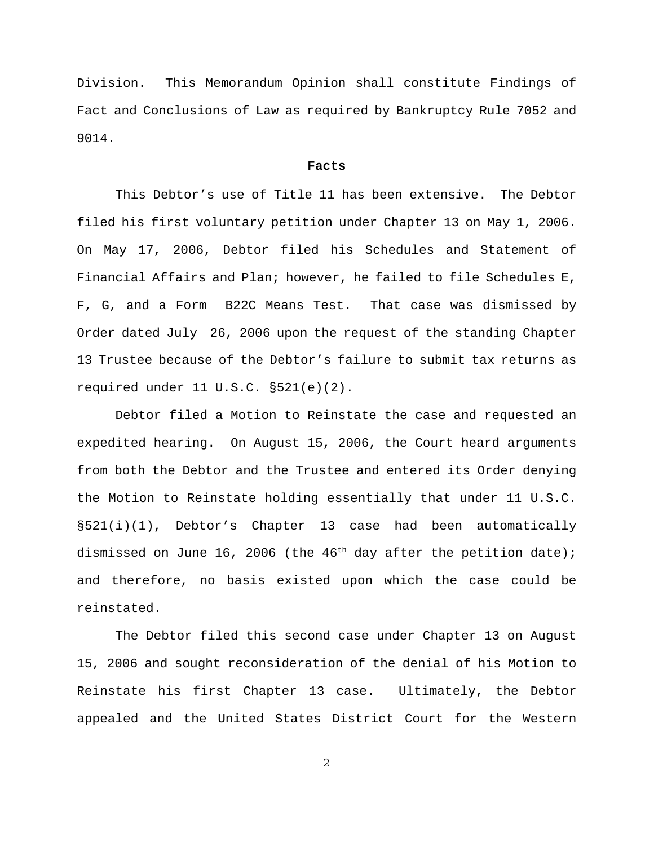Division. This Memorandum Opinion shall constitute Findings of Fact and Conclusions of Law as required by Bankruptcy Rule 7052 and 9014.

### **Facts**

This Debtor's use of Title 11 has been extensive. The Debtor filed his first voluntary petition under Chapter 13 on May 1, 2006. On May 17, 2006, Debtor filed his Schedules and Statement of Financial Affairs and Plan; however, he failed to file Schedules E, F, G, and a Form B22C Means Test. That case was dismissed by Order dated July 26, 2006 upon the request of the standing Chapter 13 Trustee because of the Debtor's failure to submit tax returns as required under 11 U.S.C. §521(e)(2).

Debtor filed a Motion to Reinstate the case and requested an expedited hearing. On August 15, 2006, the Court heard arguments from both the Debtor and the Trustee and entered its Order denying the Motion to Reinstate holding essentially that under 11 U.S.C. §521(i)(1), Debtor's Chapter 13 case had been automatically dismissed on June 16, 2006 (the  $46<sup>th</sup>$  day after the petition date); and therefore, no basis existed upon which the case could be reinstated.

The Debtor filed this second case under Chapter 13 on August 15, 2006 and sought reconsideration of the denial of his Motion to Reinstate his first Chapter 13 case. Ultimately, the Debtor appealed and the United States District Court for the Western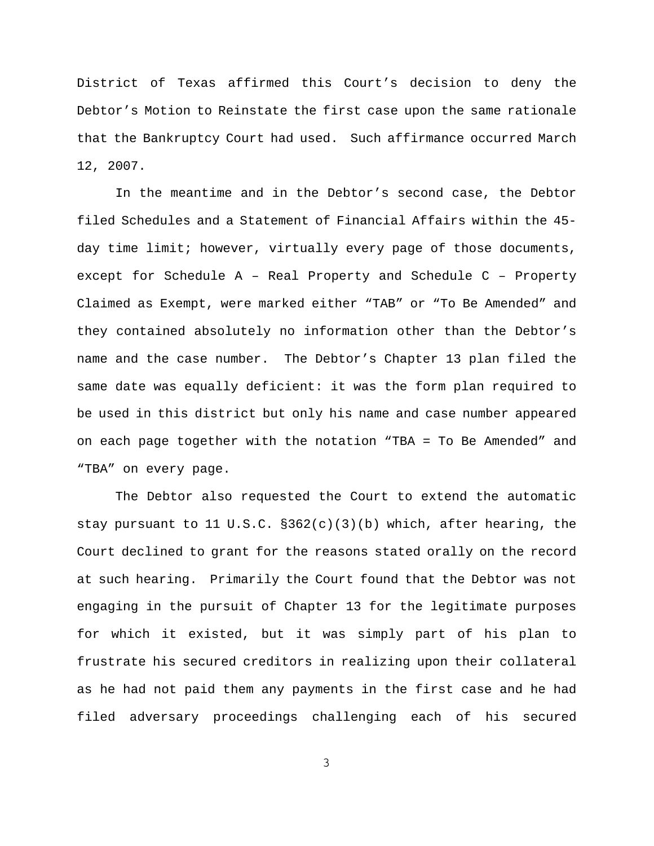District of Texas affirmed this Court's decision to deny the Debtor's Motion to Reinstate the first case upon the same rationale that the Bankruptcy Court had used. Such affirmance occurred March 12, 2007.

In the meantime and in the Debtor's second case, the Debtor filed Schedules and a Statement of Financial Affairs within the 45 day time limit; however, virtually every page of those documents, except for Schedule A – Real Property and Schedule C – Property Claimed as Exempt, were marked either "TAB" or "To Be Amended" and they contained absolutely no information other than the Debtor's name and the case number. The Debtor's Chapter 13 plan filed the same date was equally deficient: it was the form plan required to be used in this district but only his name and case number appeared on each page together with the notation "TBA = To Be Amended" and "TBA" on every page.

The Debtor also requested the Court to extend the automatic stay pursuant to 11 U.S.C.  $\S362(c)(3)(b)$  which, after hearing, the Court declined to grant for the reasons stated orally on the record at such hearing. Primarily the Court found that the Debtor was not engaging in the pursuit of Chapter 13 for the legitimate purposes for which it existed, but it was simply part of his plan to frustrate his secured creditors in realizing upon their collateral as he had not paid them any payments in the first case and he had filed adversary proceedings challenging each of his secured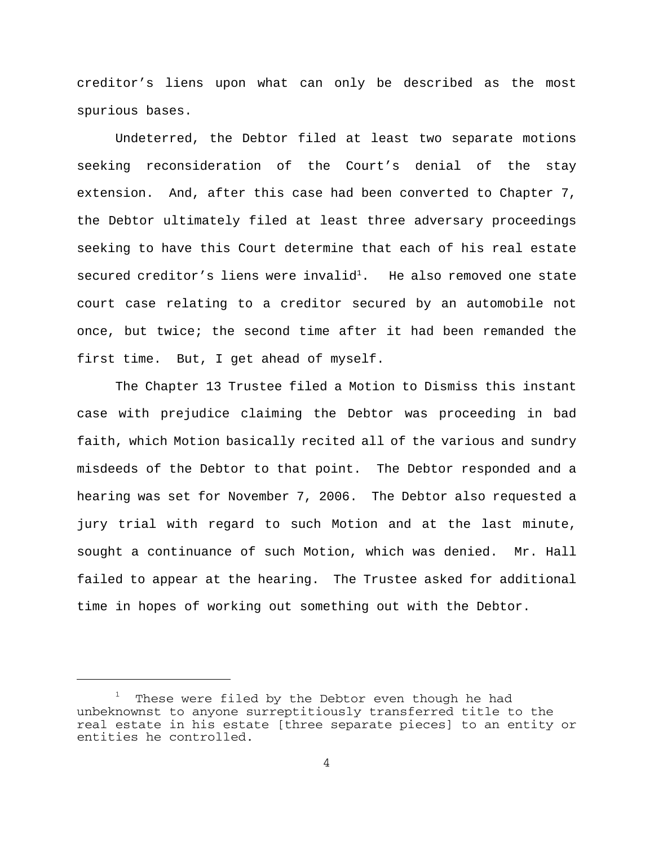creditor's liens upon what can only be described as the most spurious bases.

Undeterred, the Debtor filed at least two separate motions seeking reconsideration of the Court's denial of the stay extension. And, after this case had been converted to Chapter 7, the Debtor ultimately filed at least three adversary proceedings seeking to have this Court determine that each of his real estate secured creditor's liens were invalid<sup>1</sup>. He also removed one state court case relating to a creditor secured by an automobile not once, but twice; the second time after it had been remanded the first time. But, I get ahead of myself.

The Chapter 13 Trustee filed a Motion to Dismiss this instant case with prejudice claiming the Debtor was proceeding in bad faith, which Motion basically recited all of the various and sundry misdeeds of the Debtor to that point. The Debtor responded and a hearing was set for November 7, 2006. The Debtor also requested a jury trial with regard to such Motion and at the last minute, sought a continuance of such Motion, which was denied. Mr. Hall failed to appear at the hearing. The Trustee asked for additional time in hopes of working out something out with the Debtor.

<sup>1</sup> These were filed by the Debtor even though he had unbeknownst to anyone surreptitiously transferred title to the real estate in his estate [three separate pieces] to an entity or entities he controlled.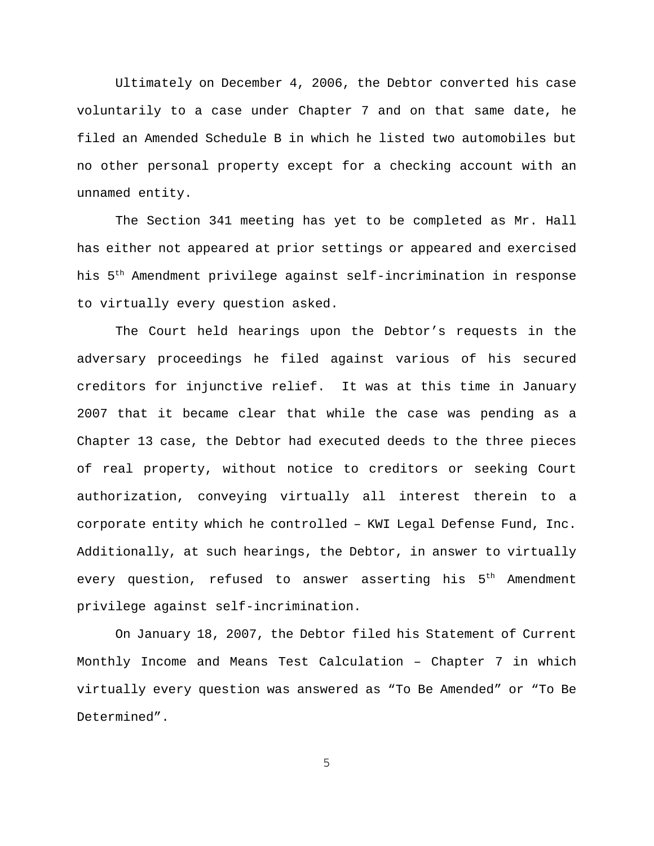Ultimately on December 4, 2006, the Debtor converted his case voluntarily to a case under Chapter 7 and on that same date, he filed an Amended Schedule B in which he listed two automobiles but no other personal property except for a checking account with an unnamed entity.

The Section 341 meeting has yet to be completed as Mr. Hall has either not appeared at prior settings or appeared and exercised his 5th Amendment privilege against self-incrimination in response to virtually every question asked.

The Court held hearings upon the Debtor's requests in the adversary proceedings he filed against various of his secured creditors for injunctive relief. It was at this time in January 2007 that it became clear that while the case was pending as a Chapter 13 case, the Debtor had executed deeds to the three pieces of real property, without notice to creditors or seeking Court authorization, conveying virtually all interest therein to a corporate entity which he controlled – KWI Legal Defense Fund, Inc. Additionally, at such hearings, the Debtor, in answer to virtually every question, refused to answer asserting his  $5<sup>th</sup>$  Amendment privilege against self-incrimination.

On January 18, 2007, the Debtor filed his Statement of Current Monthly Income and Means Test Calculation – Chapter 7 in which virtually every question was answered as "To Be Amended" or "To Be Determined".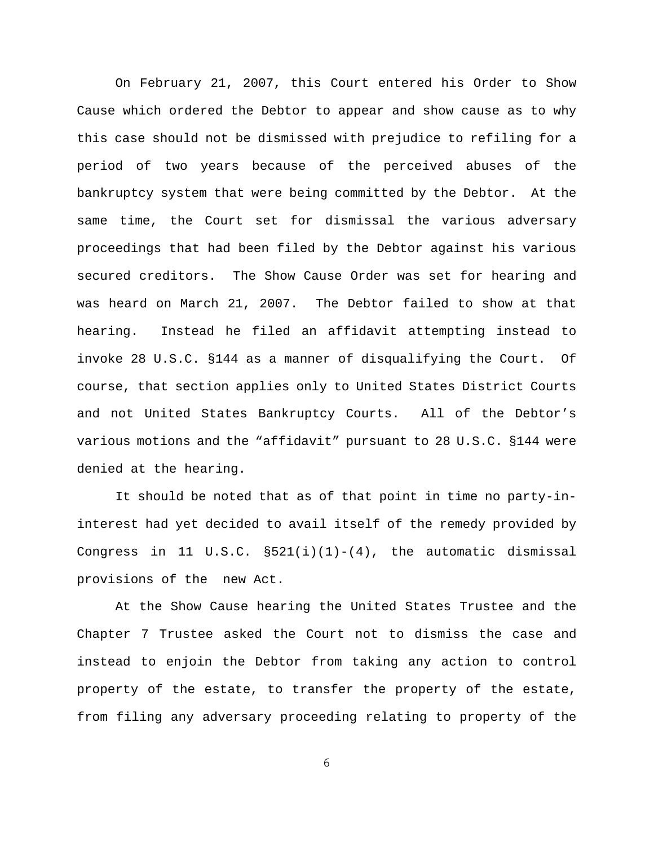On February 21, 2007, this Court entered his Order to Show Cause which ordered the Debtor to appear and show cause as to why this case should not be dismissed with prejudice to refiling for a period of two years because of the perceived abuses of the bankruptcy system that were being committed by the Debtor. At the same time, the Court set for dismissal the various adversary proceedings that had been filed by the Debtor against his various secured creditors. The Show Cause Order was set for hearing and was heard on March 21, 2007. The Debtor failed to show at that hearing. Instead he filed an affidavit attempting instead to invoke 28 U.S.C. §144 as a manner of disqualifying the Court. Of course, that section applies only to United States District Courts and not United States Bankruptcy Courts. All of the Debtor's various motions and the "affidavit" pursuant to 28 U.S.C. §144 were denied at the hearing.

It should be noted that as of that point in time no party-ininterest had yet decided to avail itself of the remedy provided by Congress in 11 U.S.C.  $\S521(i)(1)-(4)$ , the automatic dismissal provisions of the new Act.

At the Show Cause hearing the United States Trustee and the Chapter 7 Trustee asked the Court not to dismiss the case and instead to enjoin the Debtor from taking any action to control property of the estate, to transfer the property of the estate, from filing any adversary proceeding relating to property of the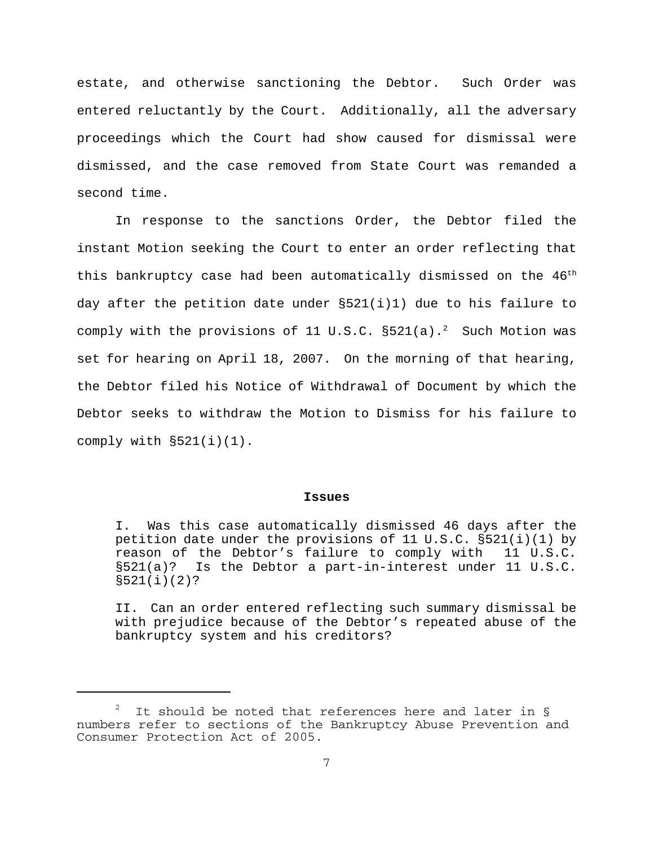estate, and otherwise sanctioning the Debtor. Such Order was entered reluctantly by the Court. Additionally, all the adversary proceedings which the Court had show caused for dismissal were dismissed, and the case removed from State Court was remanded a second time.

In response to the sanctions Order, the Debtor filed the instant Motion seeking the Court to enter an order reflecting that this bankruptcy case had been automatically dismissed on the 46<sup>th</sup> day after the petition date under §521(i)1) due to his failure to comply with the provisions of 11 U.S.C.  $\S 521(a)$ .<sup>2</sup> Such Motion was set for hearing on April 18, 2007. On the morning of that hearing, the Debtor filed his Notice of Withdrawal of Document by which the Debtor seeks to withdraw the Motion to Dismiss for his failure to comply with  $\S521(i)(1)$ .

#### **Issues**

I. Was this case automatically dismissed 46 days after the petition date under the provisions of 11 U.S.C.  $\S 521(i)(1)$  by reason of the Debtor's failure to comply with 11 U.S.C. §521(a)? Is the Debtor a part-in-interest under 11 U.S.C. §521(i)(2)?

II. Can an order entered reflecting such summary dismissal be with prejudice because of the Debtor's repeated abuse of the bankruptcy system and his creditors?

<sup>2</sup> It should be noted that references here and later in § numbers refer to sections of the Bankruptcy Abuse Prevention and Consumer Protection Act of 2005.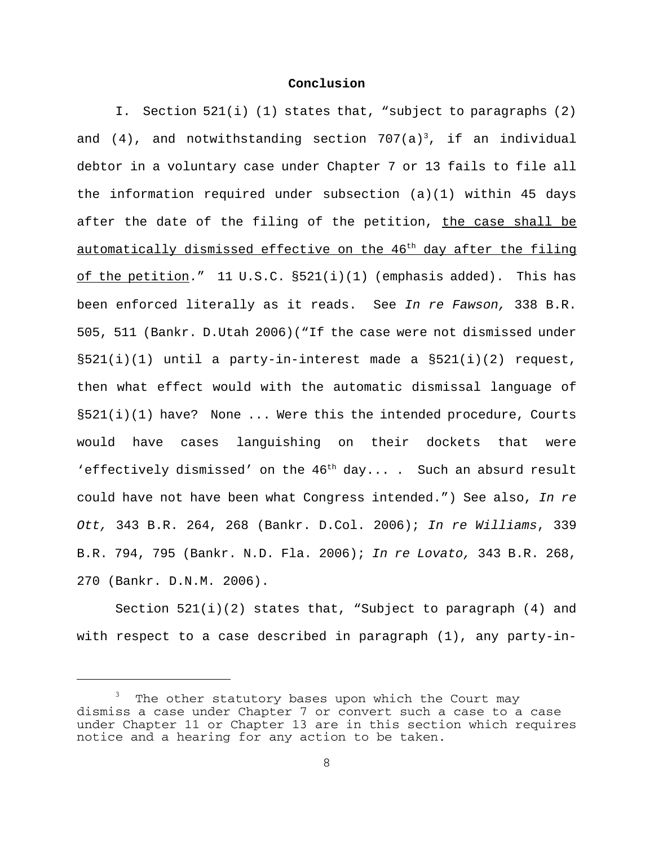## **Conclusion**

I. Section 521(i) (1) states that, "subject to paragraphs (2) and  $(4)$ , and notwithstanding section 707(a)<sup>3</sup>, if an individual debtor in a voluntary case under Chapter 7 or 13 fails to file all the information required under subsection  $(a)(1)$  within 45 days after the date of the filing of the petition, the case shall be automatically dismissed effective on the 46<sup>th</sup> day after the filing of the petition."  $11 \text{ U.S.C. } $521(i)(1)$  (emphasis added). This has been enforced literally as it reads. See *In re Fawson,* 338 B.R. 505, 511 (Bankr. D.Utah 2006)("If the case were not dismissed under  $\S521(i)(1)$  until a party-in-interest made a  $\S521(i)(2)$  request, then what effect would with the automatic dismissal language of  $\S521(i)(1)$  have? None ... Were this the intended procedure, Courts would have cases languishing on their dockets that were 'effectively dismissed' on the  $46<sup>th</sup>$  day.... Such an absurd result could have not have been what Congress intended.") See also, *In re Ott,* 343 B.R. 264, 268 (Bankr. D.Col. 2006); *In re Williams*, 339 B.R. 794, 795 (Bankr. N.D. Fla. 2006); *In re Lovato,* 343 B.R. 268, 270 (Bankr. D.N.M. 2006).

Section 521(i)(2) states that, "Subject to paragraph (4) and with respect to a case described in paragraph (1), any party-in-

<sup>3</sup> The other statutory bases upon which the Court may dismiss a case under Chapter 7 or convert such a case to a case under Chapter 11 or Chapter 13 are in this section which requires notice and a hearing for any action to be taken.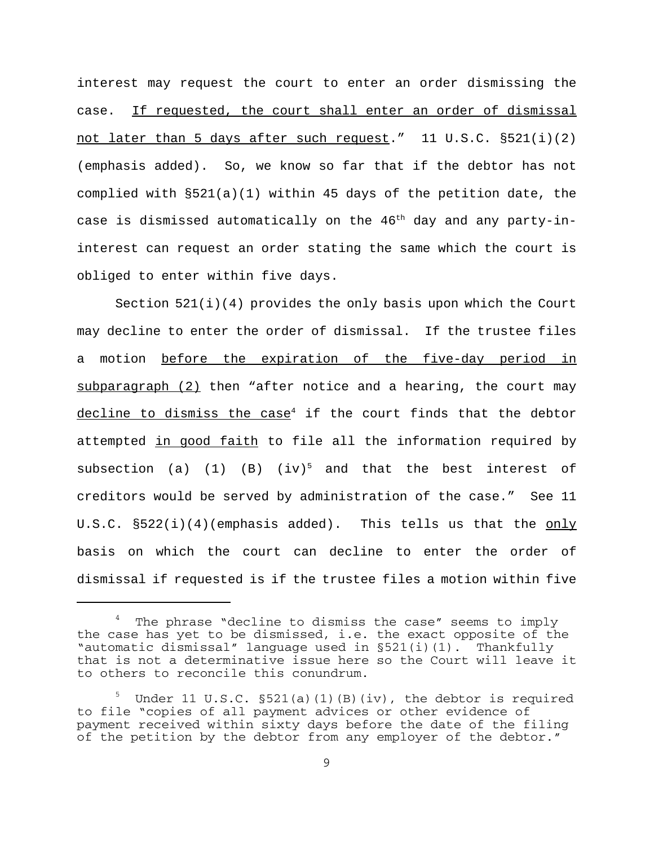interest may request the court to enter an order dismissing the case. If requested, the court shall enter an order of dismissal not later than 5 days after such request." 11 U.S.C. §521(i)(2) (emphasis added). So, we know so far that if the debtor has not complied with §521(a)(1) within 45 days of the petition date, the case is dismissed automatically on the  $46<sup>th</sup>$  day and any party-ininterest can request an order stating the same which the court is obliged to enter within five days.

Section  $521(i)(4)$  provides the only basis upon which the Court may decline to enter the order of dismissal. If the trustee files a motion before the expiration of the five-day period in subparagraph (2) then "after notice and a hearing, the court may decline to dismiss the case<sup>4</sup> if the court finds that the debtor attempted in good faith to file all the information required by subsection (a) (1) (B)  $(iv)^5$  and that the best interest of creditors would be served by administration of the case." See 11 U.S.C. §522(i)(4)(emphasis added). This tells us that the only basis on which the court can decline to enter the order of dismissal if requested is if the trustee files a motion within five

<sup>4</sup> The phrase "decline to dismiss the case" seems to imply the case has yet to be dismissed, i.e. the exact opposite of the "automatic dismissal" language used in §521(i)(1). Thankfully that is not a determinative issue here so the Court will leave it to others to reconcile this conundrum.

<sup>5</sup> Under 11 U.S.C. §521(a)(1)(B)(iv), the debtor is required to file "copies of all payment advices or other evidence of payment received within sixty days before the date of the filing of the petition by the debtor from any employer of the debtor."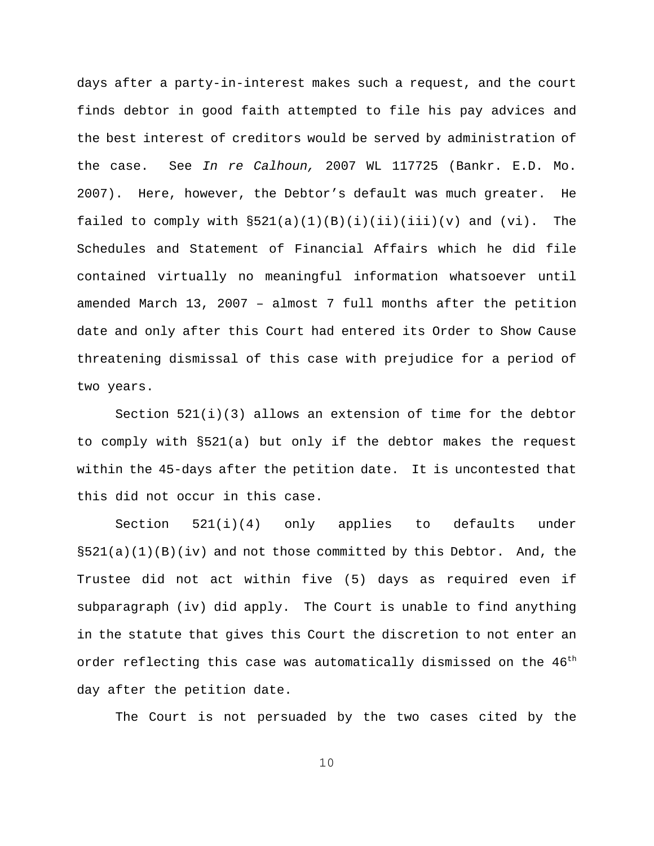days after a party-in-interest makes such a request, and the court finds debtor in good faith attempted to file his pay advices and the best interest of creditors would be served by administration of the case. See *In re Calhoun,* 2007 WL 117725 (Bankr. E.D. Mo. 2007). Here, however, the Debtor's default was much greater. He failed to comply with  $\S521(a)(1)(B)(i)(iii)(iii)(v)$  and  $(vi)$ . The Schedules and Statement of Financial Affairs which he did file contained virtually no meaningful information whatsoever until amended March 13, 2007 – almost 7 full months after the petition date and only after this Court had entered its Order to Show Cause threatening dismissal of this case with prejudice for a period of two years.

Section 521(i)(3) allows an extension of time for the debtor to comply with §521(a) but only if the debtor makes the request within the 45-days after the petition date. It is uncontested that this did not occur in this case.

Section 521(i)(4) only applies to defaults under  $\S521(a)(1)(B)(iv)$  and not those committed by this Debtor. And, the Trustee did not act within five (5) days as required even if subparagraph (iv) did apply. The Court is unable to find anything in the statute that gives this Court the discretion to not enter an order reflecting this case was automatically dismissed on the 46<sup>th</sup> day after the petition date.

The Court is not persuaded by the two cases cited by the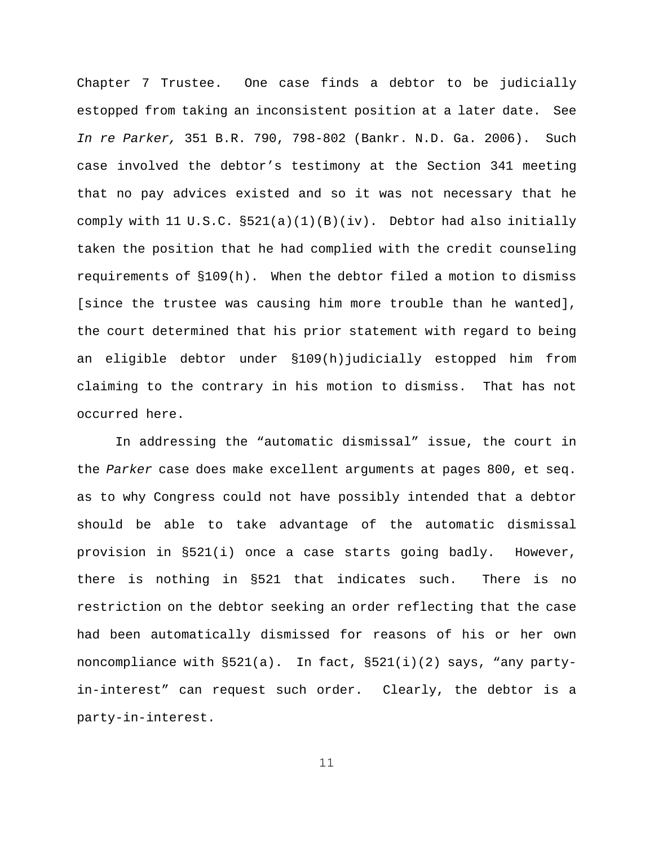Chapter 7 Trustee. One case finds a debtor to be judicially estopped from taking an inconsistent position at a later date. See *In re Parker,* 351 B.R. 790, 798-802 (Bankr. N.D. Ga. 2006). Such case involved the debtor's testimony at the Section 341 meeting that no pay advices existed and so it was not necessary that he comply with 11 U.S.C. §521(a)(1)(B)(iv). Debtor had also initially taken the position that he had complied with the credit counseling requirements of §109(h). When the debtor filed a motion to dismiss [since the trustee was causing him more trouble than he wanted], the court determined that his prior statement with regard to being an eligible debtor under §109(h)judicially estopped him from claiming to the contrary in his motion to dismiss. That has not occurred here.

In addressing the "automatic dismissal" issue, the court in the *Parker* case does make excellent arguments at pages 800, et seq. as to why Congress could not have possibly intended that a debtor should be able to take advantage of the automatic dismissal provision in §521(i) once a case starts going badly. However, there is nothing in §521 that indicates such. There is no restriction on the debtor seeking an order reflecting that the case had been automatically dismissed for reasons of his or her own noncompliance with §521(a). In fact, §521(i)(2) says, "any partyin-interest" can request such order. Clearly, the debtor is a party-in-interest.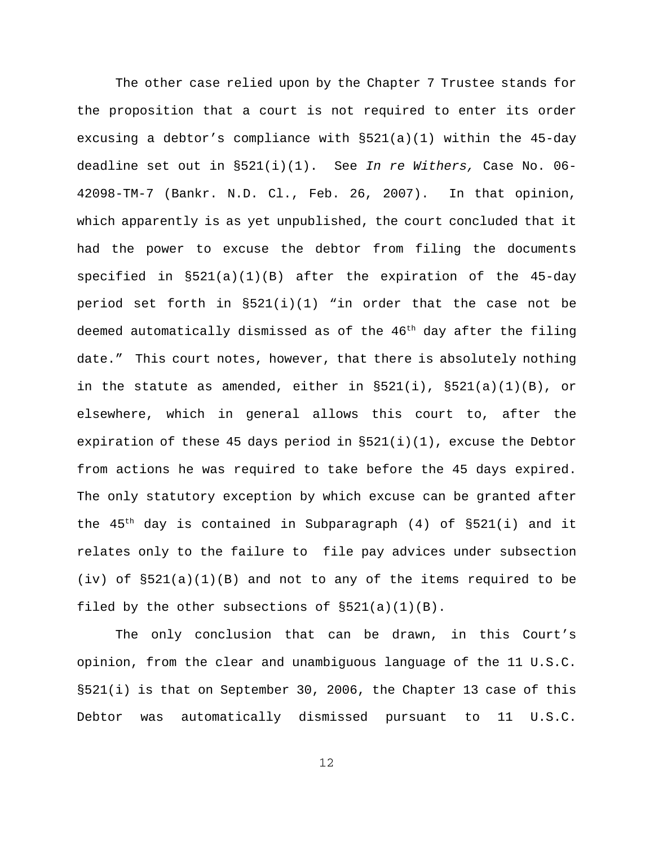The other case relied upon by the Chapter 7 Trustee stands for the proposition that a court is not required to enter its order excusing a debtor's compliance with §521(a)(1) within the 45-day deadline set out in §521(i)(1). See *In re Withers,* Case No. 06- 42098-TM-7 (Bankr. N.D. Cl., Feb. 26, 2007). In that opinion, which apparently is as yet unpublished, the court concluded that it had the power to excuse the debtor from filing the documents specified in §521(a)(1)(B) after the expiration of the 45-day period set forth in  $\S521(i)(1)$  "in order that the case not be deemed automatically dismissed as of the  $46<sup>th</sup>$  day after the filing date." This court notes, however, that there is absolutely nothing in the statute as amended, either in  $\S 521(i)$ ,  $\S 521(a)(1)(B)$ , or elsewhere, which in general allows this court to, after the expiration of these 45 days period in  $\S 521(i)(1)$ , excuse the Debtor from actions he was required to take before the 45 days expired. The only statutory exception by which excuse can be granted after the  $45<sup>th</sup>$  day is contained in Subparagraph (4) of  $\S 521(i)$  and it relates only to the failure to file pay advices under subsection  $(iv)$  of  $\S 521(a)(1)(B)$  and not to any of the items required to be filed by the other subsections of §521(a)(1)(B).

The only conclusion that can be drawn, in this Court's opinion, from the clear and unambiguous language of the 11 U.S.C. §521(i) is that on September 30, 2006, the Chapter 13 case of this Debtor was automatically dismissed pursuant to 11 U.S.C.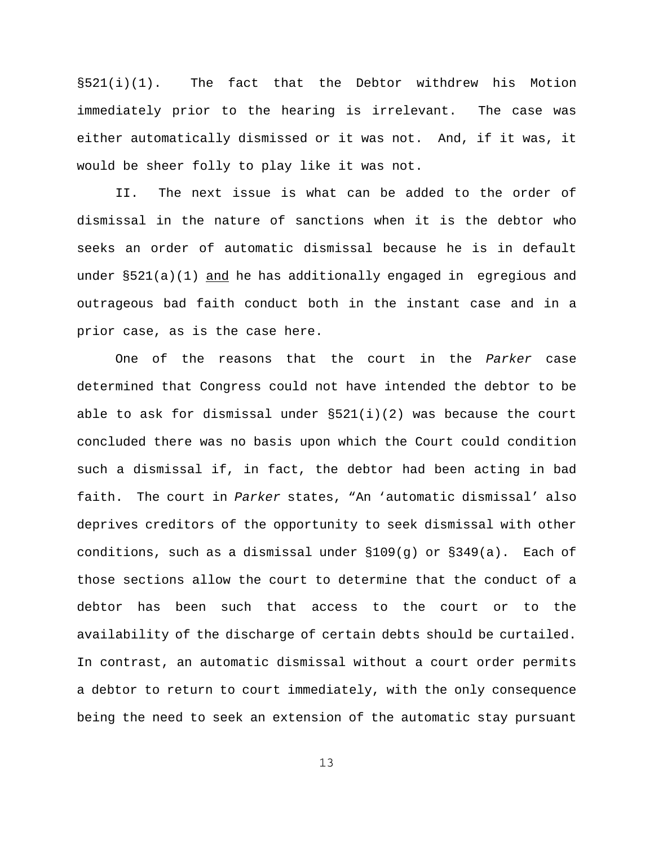$\S521(i)(1)$ . The fact that the Debtor withdrew his Motion immediately prior to the hearing is irrelevant. The case was either automatically dismissed or it was not. And, if it was, it would be sheer folly to play like it was not.

II. The next issue is what can be added to the order of dismissal in the nature of sanctions when it is the debtor who seeks an order of automatic dismissal because he is in default under  $\S 521(a)(1)$  and he has additionally engaged in egregious and outrageous bad faith conduct both in the instant case and in a prior case, as is the case here.

One of the reasons that the court in the *Parker* case determined that Congress could not have intended the debtor to be able to ask for dismissal under  $\S 521(i)(2)$  was because the court concluded there was no basis upon which the Court could condition such a dismissal if, in fact, the debtor had been acting in bad faith. The court in *Parker* states, "An 'automatic dismissal' also deprives creditors of the opportunity to seek dismissal with other conditions, such as a dismissal under  $$109(g)$  or  $$349(a)$ . Each of those sections allow the court to determine that the conduct of a debtor has been such that access to the court or to the availability of the discharge of certain debts should be curtailed. In contrast, an automatic dismissal without a court order permits a debtor to return to court immediately, with the only consequence being the need to seek an extension of the automatic stay pursuant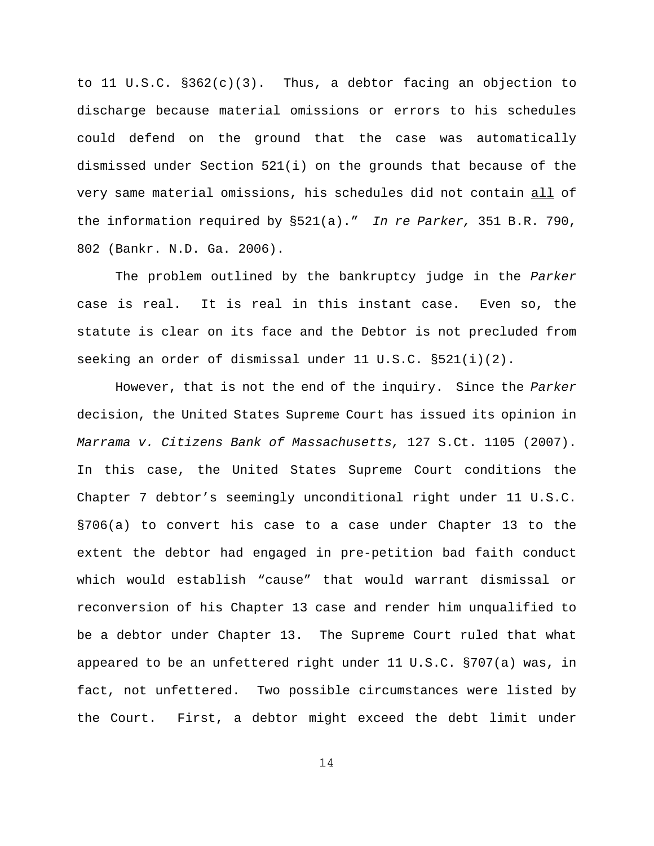to 11 U.S.C. §362(c)(3). Thus, a debtor facing an objection to discharge because material omissions or errors to his schedules could defend on the ground that the case was automatically dismissed under Section 521(i) on the grounds that because of the very same material omissions, his schedules did not contain all of the information required by §521(a)." *In re Parker,* 351 B.R. 790, 802 (Bankr. N.D. Ga. 2006).

The problem outlined by the bankruptcy judge in the *Parker* case is real. It is real in this instant case. Even so, the statute is clear on its face and the Debtor is not precluded from seeking an order of dismissal under 11 U.S.C. §521(i)(2).

However, that is not the end of the inquiry. Since the *Parker* decision, the United States Supreme Court has issued its opinion in *Marrama v. Citizens Bank of Massachusetts,* 127 S.Ct. 1105 (2007). In this case, the United States Supreme Court conditions the Chapter 7 debtor's seemingly unconditional right under 11 U.S.C. §706(a) to convert his case to a case under Chapter 13 to the extent the debtor had engaged in pre-petition bad faith conduct which would establish "cause" that would warrant dismissal or reconversion of his Chapter 13 case and render him unqualified to be a debtor under Chapter 13. The Supreme Court ruled that what appeared to be an unfettered right under 11 U.S.C. §707(a) was, in fact, not unfettered. Two possible circumstances were listed by the Court. First, a debtor might exceed the debt limit under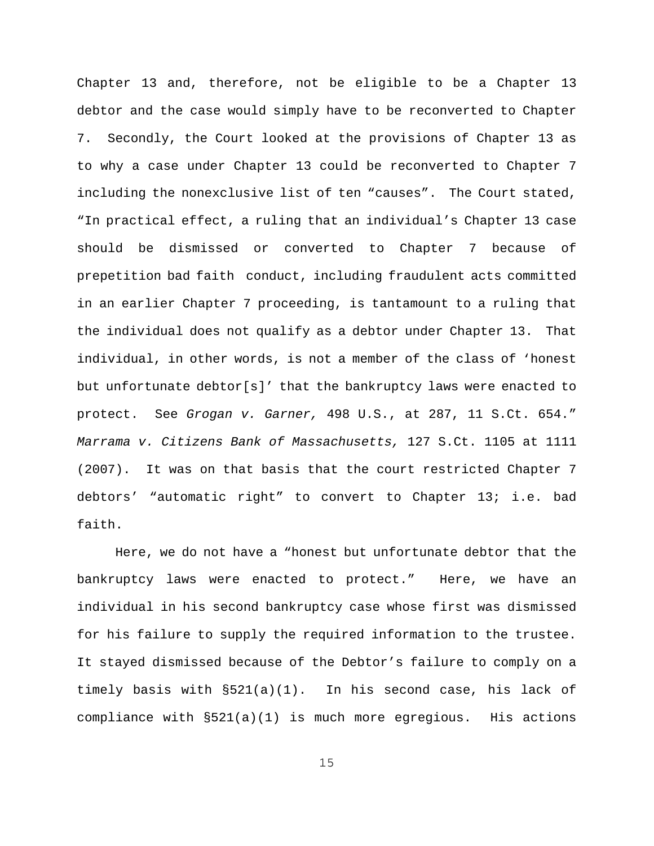Chapter 13 and, therefore, not be eligible to be a Chapter 13 debtor and the case would simply have to be reconverted to Chapter 7. Secondly, the Court looked at the provisions of Chapter 13 as to why a case under Chapter 13 could be reconverted to Chapter 7 including the nonexclusive list of ten "causes". The Court stated, "In practical effect, a ruling that an individual's Chapter 13 case should be dismissed or converted to Chapter 7 because of prepetition bad faith conduct, including fraudulent acts committed in an earlier Chapter 7 proceeding, is tantamount to a ruling that the individual does not qualify as a debtor under Chapter 13. That individual, in other words, is not a member of the class of 'honest but unfortunate debtor[s]' that the bankruptcy laws were enacted to protect. See *Grogan v. Garner,* 498 U.S., at 287, 11 S.Ct. 654." *Marrama v. Citizens Bank of Massachusetts,* 127 S.Ct. 1105 at 1111 (2007). It was on that basis that the court restricted Chapter 7 debtors' "automatic right" to convert to Chapter 13; i.e. bad faith.

Here, we do not have a "honest but unfortunate debtor that the bankruptcy laws were enacted to protect." Here, we have an individual in his second bankruptcy case whose first was dismissed for his failure to supply the required information to the trustee. It stayed dismissed because of the Debtor's failure to comply on a timely basis with  $\S521(a)(1)$ . In his second case, his lack of compliance with §521(a)(1) is much more egregious. His actions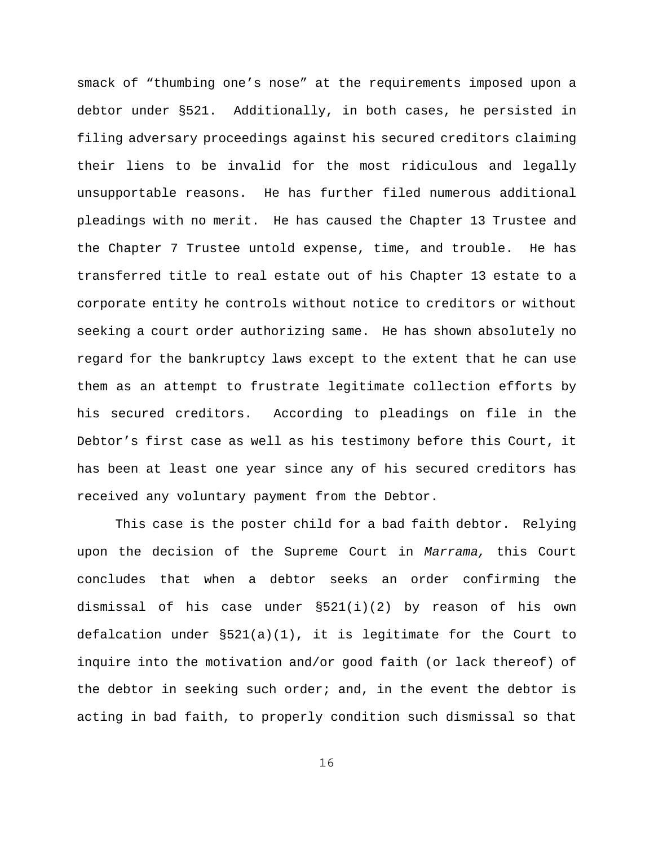smack of "thumbing one's nose" at the requirements imposed upon a debtor under §521. Additionally, in both cases, he persisted in filing adversary proceedings against his secured creditors claiming their liens to be invalid for the most ridiculous and legally unsupportable reasons. He has further filed numerous additional pleadings with no merit. He has caused the Chapter 13 Trustee and the Chapter 7 Trustee untold expense, time, and trouble. He has transferred title to real estate out of his Chapter 13 estate to a corporate entity he controls without notice to creditors or without seeking a court order authorizing same. He has shown absolutely no regard for the bankruptcy laws except to the extent that he can use them as an attempt to frustrate legitimate collection efforts by his secured creditors. According to pleadings on file in the Debtor's first case as well as his testimony before this Court, it has been at least one year since any of his secured creditors has received any voluntary payment from the Debtor.

This case is the poster child for a bad faith debtor. Relying upon the decision of the Supreme Court in *Marrama,* this Court concludes that when a debtor seeks an order confirming the dismissal of his case under §521(i)(2) by reason of his own defalcation under  $\S521(a)(1)$ , it is legitimate for the Court to inquire into the motivation and/or good faith (or lack thereof) of the debtor in seeking such order; and, in the event the debtor is acting in bad faith, to properly condition such dismissal so that